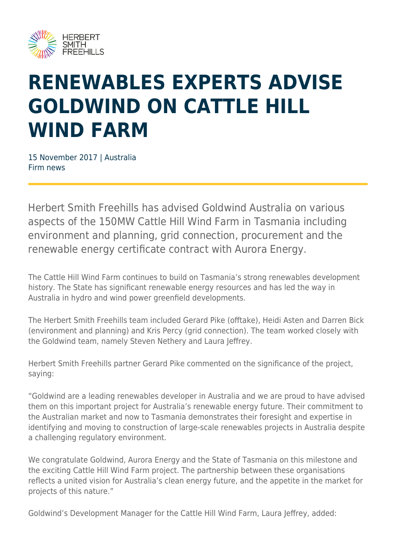

## **RENEWABLES EXPERTS ADVISE GOLDWIND ON CATTLE HILL WIND FARM**

15 November 2017 | Australia Firm news

Herbert Smith Freehills has advised Goldwind Australia on various aspects of the 150MW Cattle Hill Wind Farm in Tasmania including environment and planning, grid connection, procurement and the renewable energy certificate contract with Aurora Energy.

The Cattle Hill Wind Farm continues to build on Tasmania's strong renewables development history. The State has significant renewable energy resources and has led the way in Australia in hydro and wind power greenfield developments.

The Herbert Smith Freehills team included Gerard Pike (offtake), Heidi Asten and Darren Bick (environment and planning) and Kris Percy (grid connection). The team worked closely with the Goldwind team, namely Steven Nethery and Laura Jeffrey.

Herbert Smith Freehills partner Gerard Pike commented on the significance of the project, saying:

"Goldwind are a leading renewables developer in Australia and we are proud to have advised them on this important project for Australia's renewable energy future. Their commitment to the Australian market and now to Tasmania demonstrates their foresight and expertise in identifying and moving to construction of large-scale renewables projects in Australia despite a challenging regulatory environment.

We congratulate Goldwind, Aurora Energy and the State of Tasmania on this milestone and the exciting Cattle Hill Wind Farm project. The partnership between these organisations reflects a united vision for Australia's clean energy future, and the appetite in the market for projects of this nature."

Goldwind's Development Manager for the Cattle Hill Wind Farm, Laura Jeffrey, added: